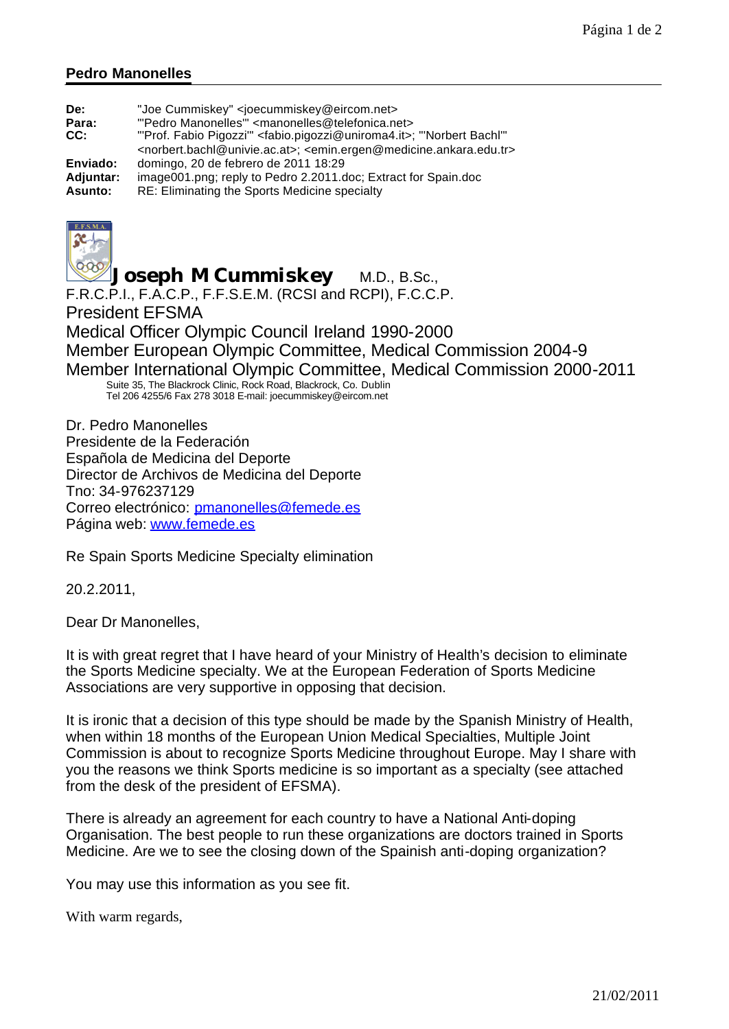## **Pedro Manonelles**

| De:<br>Para:<br>CC: | "Joe Cummiskey" <joecummiskey@eircom.net><br/>"'Pedro Manonelles'" <manonelles@telefonica.net><br/>"'Prof. Fabio Pigozzi'" &lt; fabio.pigozzi@uniroma4.it&gt;; "Norbert Bachl"<br/><norbert.bachl@univie.ac.at>; <emin.ergen@medicine.ankara.edu.tr></emin.ergen@medicine.ankara.edu.tr></norbert.bachl@univie.ac.at></manonelles@telefonica.net></joecummiskey@eircom.net> |
|---------------------|-----------------------------------------------------------------------------------------------------------------------------------------------------------------------------------------------------------------------------------------------------------------------------------------------------------------------------------------------------------------------------|
| Enviado:            | domingo, 20 de febrero de 2011 18:29                                                                                                                                                                                                                                                                                                                                        |
| Adjuntar:           | image001.png; reply to Pedro 2.2011.doc; Extract for Spain.doc                                                                                                                                                                                                                                                                                                              |
| Asunto:             | RE: Eliminating the Sports Medicine specialty                                                                                                                                                                                                                                                                                                                               |



*Joseph M Cummiskey* M.D., B.Sc., F.R.C.P.I., F.A.C.P., F.F.S.E.M. (RCSI and RCPI), F.C.C.P. President EFSMA Medical Officer Olympic Council Ireland 1990-2000 Member European Olympic Committee, Medical Commission 2004-9 Member International Olympic Committee, Medical Commission 2000-2011 Suite 35, The Blackrock Clinic, Rock Road, Blackrock, Co. Dublin Tel 206 4255/6 Fax 278 3018 E-mail: joecummiskey@eircom.net Dr. Pedro Manonelles

Presidente de la Federación Española de Medicina del Deporte Director de Archivos de Medicina del Deporte Tno: 34-976237129 Correo electrónico: pmanonelles@femede.es Página web: www.femede.es

Re Spain Sports Medicine Specialty elimination

20.2.2011,

Dear Dr Manonelles,

It is with great regret that I have heard of your Ministry of Health's decision to eliminate the Sports Medicine specialty. We at the European Federation of Sports Medicine Associations are very supportive in opposing that decision.

It is ironic that a decision of this type should be made by the Spanish Ministry of Health, when within 18 months of the European Union Medical Specialties, Multiple Joint Commission is about to recognize Sports Medicine throughout Europe. May I share with you the reasons we think Sports medicine is so important as a specialty (see attached from the desk of the president of EFSMA).

There is already an agreement for each country to have a National Anti-doping Organisation. The best people to run these organizations are doctors trained in Sports Medicine. Are we to see the closing down of the Spainish anti-doping organization?

You may use this information as you see fit.

With warm regards,